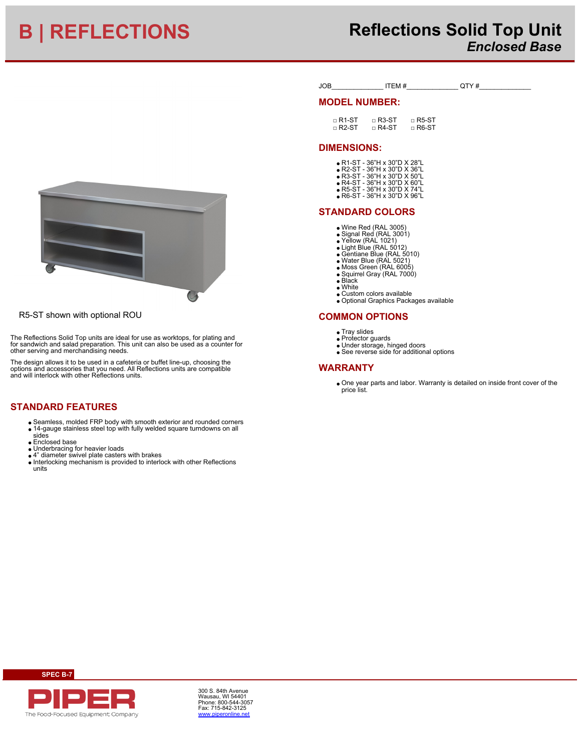# **B | REFLECTIONS Reflections Solid Top Unit** *Enclosed Base*



R5-ST shown with optional ROU

The Reflections Solid Top units are ideal for use as worktops, for plating and for sandwich and salad preparation. This unit can also be used as a counter for other serving and merchandising needs.

The design allows it to be used in a cafeteria or buffet line-up, choosing the options and accessories that you need. All Reflections units are compatible and will interlock with other Reflections units.

# **STANDARD FEATURES**

- Seamless, molded FRP body with smooth exterior and rounded corners 14-gauge stainless steel top with fully welded square turndowns on all
- sides
- **Enclosed base**
- Underbracing for heavier loads
- 
- 4" diameter swivel plate casters with brakes Interlocking mechanism is provided to interlock with other Reflections units

| JOB | TEM# | TVH<br>w |  |
|-----|------|----------|--|
|     |      |          |  |

### **MODEL NUMBER:**

| $\mathsf{\small \sqcap}\mathsf{R}$ 1-ST | $\mathsf{R}$ R3-ST                     | $\mathsf{R}$ R5-ST |
|-----------------------------------------|----------------------------------------|--------------------|
| $\mathsf{\small \sqcap}\mathsf{R}$ 2-ST | $\mathsf{\small \sqcap\,R4\text{-}ST}$ | $\sqcap$ R6-ST     |

## **DIMENSIONS:**

- R1-ST 36"H x 30"D X 28"L R2-ST 36"H x 30"D X 36"L
- R3-ST 36"H x 30"D X 50"L R4-ST 36"H x 30"D X 60"L R5-ST 36"H x 30"D X 74"L
- R6-ST 36"H x 30"D X 96"L
- 

## **STANDARD COLORS**

- Wine Red (RAL 3005) Signal Red (RAL 3001) Yellow (RAL 1021)
- 
- 
- Light Blue (RAL 5012) Gentiane Blue (RAL 5010) Water Blue (RAL 5021)
- 
- Moss Green (RAL 6005) Squirrel Gray (RAL 7000)
- Black
- 
- White Custom colors available Optional Graphics Packages available

## **COMMON OPTIONS**

- Trav slides
- Protector guards
- Under storage, hinged doors See reverse side for additional options

### **WARRANTY**

One year parts and labor. Warranty is detailed on inside front cover of the price list.



**SPEC B-7**

300 S. 84th Avenue Wausau, WI 54401 Phone: 800-544-3057 Fax: 715-842-3125 [www.piperonline.net](http://www.piperonline.net)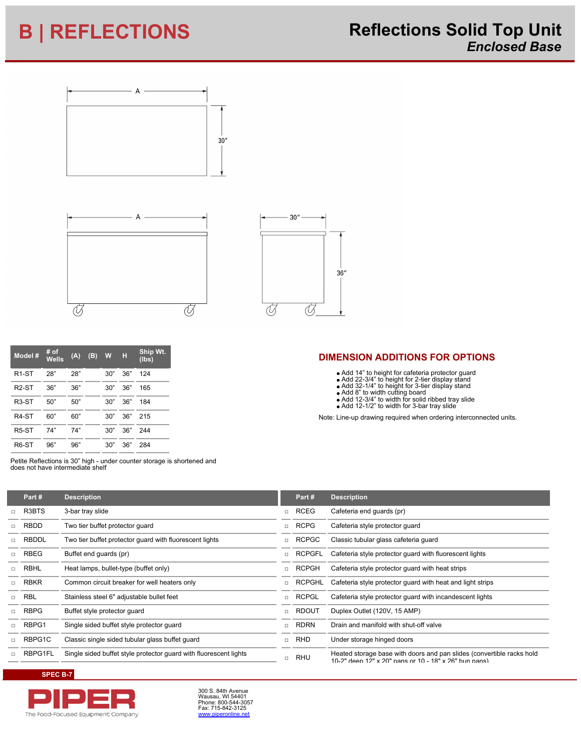# **B | REFLECTIONS Reflections Solid Top Unit** *Enclosed Base*







| Model #            | # of<br><b>Wells</b> | (A) | (B) | W   | н   | Ship Wt.<br>(Ibs) |
|--------------------|----------------------|-----|-----|-----|-----|-------------------|
| R <sub>1</sub> -ST | 28"                  | 28" |     | 30" | 36" | 124               |
| R <sub>2</sub> -ST | 36"                  | 36" |     | 30" | 36" | 165               |
| R <sub>3</sub> -ST | 50"                  | 50" |     | 30" | 36" | 184               |
| R4-ST              | 60"                  | 60" |     | 30" | 36" | 215               |
| R <sub>5</sub> -ST | 74"                  | 74" |     | 30" | 36" | 244               |
| R <sub>6</sub> -ST | 96"                  | 96" |     | 30" | 36" | 284               |

Petite Reflections is 30" high - under counter storage is shortened and does not have intermediate shelf

| Note: Line-up drawing required when ordering interconnected units. |
|--------------------------------------------------------------------|
|                                                                    |
|                                                                    |
|                                                                    |

**DIMENSION ADDITIONS FOR OPTIONS**

Add 14" to height for cafeteria protector guard Add 22-3/4" to height for 2-tier display stand Add 32-1/4" to height for 3-tier display stand

Add 8" to width cutting board Add 12-3/4" to width for solid ribbed tray slide Add 12-1/2" to width for 3-bar tray slide

| Part#        | <b>Description</b>                                                |        | Part#         | <b>Description</b>                                                                                                             |
|--------------|-------------------------------------------------------------------|--------|---------------|--------------------------------------------------------------------------------------------------------------------------------|
| R3BTS        | 3-bar tray slide                                                  | п.     | RCEG          | Cafeteria end quards (pr)                                                                                                      |
| <b>RBDD</b>  | Two tier buffet protector quard                                   | π      | <b>RCPG</b>   | Cafeteria style protector quard                                                                                                |
| <b>RBDDL</b> | Two tier buffet protector quard with fluorescent lights           | п.     | RCPGC         | Classic tubular glass cafeteria guard                                                                                          |
| <b>RBEG</b>  | Buffet end guards (pr)                                            |        | <b>RCPGFL</b> | Cafeteria style protector guard with fluorescent lights                                                                        |
| RBHL         | Heat lamps, bullet-type (buffet only)                             | $\Box$ | <b>RCPGH</b>  | Cafeteria style protector quard with heat strips                                                                               |
| <b>RBKR</b>  | Common circuit breaker for well heaters only                      | п      | <b>RCPGHL</b> | Cafeteria style protector guard with heat and light strips                                                                     |
| RBL          | Stainless steel 6" adjustable bullet feet                         | $\Box$ | <b>RCPGL</b>  | Cafeteria style protector guard with incandescent lights                                                                       |
| <b>RBPG</b>  | Buffet style protector guard                                      | $\Box$ | <b>RDOUT</b>  | Duplex Outlet (120V, 15 AMP)                                                                                                   |
| RBPG1        | Single sided buffet style protector guard                         |        | RDRN          | Drain and manifold with shut-off valve                                                                                         |
| RBPG1C       | Classic single sided tubular glass buffet guard                   | $\Box$ | RHD           | Under storage hinged doors                                                                                                     |
| RBPG1FL      | Single sided buffet style protector quard with fluorescent lights | $\Box$ | RHU           | Heated storage base with doors and pan slides (convertible racks hold<br>10-2" deep 12" x 20" pans or 10 - 18" x 26" bun pans) |

**SPEC B-7**



300 S. 84th Avenue<br>Wausau, WI 54401<br>Phone: 800-544-3057<br>Fax: 715-842-3125<br><u>[www.piperonline.net](http://www.piperonline.net)</u>